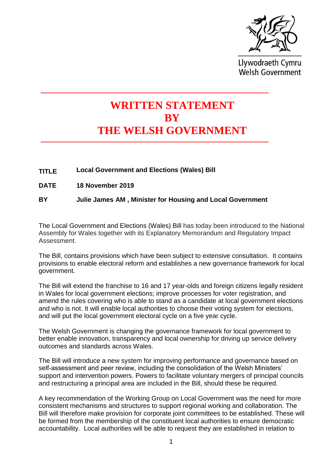

Llywodraeth Cymru **Welsh Government** 

## **WRITTEN STATEMENT BY THE WELSH GOVERNMENT**

- **TITLE** Local Government and Elections (Wales) Bill
- **DATE 18 November 2019**

**BY Julie James AM , Minister for Housing and Local Government**

The Local Government and Elections (Wales) Bill has today been introduced to the National Assembly for Wales together with its Explanatory Memorandum and Regulatory Impact Assessment.

The Bill, contains provisions which have been subject to extensive consultation. It contains provisions to enable electoral reform and establishes a new governance framework for local government.

The Bill will extend the franchise to 16 and 17 year-olds and foreign citizens legally resident in Wales for local government elections; improve processes for voter registration, and amend the rules covering who is able to stand as a candidate at local government elections and who is not. It will enable local authorities to choose their voting system for elections, and will put the local government electoral cycle on a five year cycle.

The Welsh Government is changing the governance framework for local government to better enable innovation, transparency and local ownership for driving up service delivery outcomes and standards across Wales.

The Bill will introduce a new system for improving performance and governance based on self-assessment and peer review, including the consolidation of the Welsh Ministers' support and intervention powers. Powers to facilitate voluntary mergers of principal councils and restructuring a principal area are included in the Bill, should these be required.

A key recommendation of the Working Group on Local Government was the need for more consistent mechanisms and structures to support regional working and collaboration. The Bill will therefore make provision for corporate joint committees to be established. These will be formed from the membership of the constituent local authorities to ensure democratic accountability. Local authorities will be able to request they are established in relation to